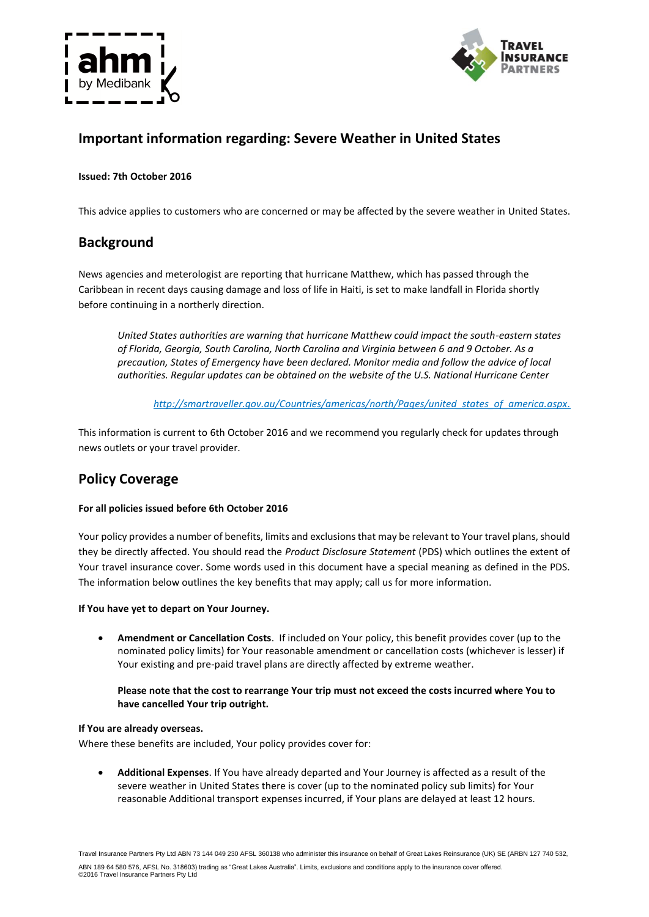



# **Important information regarding: Severe Weather in United States**

## **Issued: 7th October 2016**

This advice applies to customers who are concerned or may be affected by the severe weather in United States.

## **Background**

News agencies and meterologist are reporting that hurricane Matthew, which has passed through the Caribbean in recent days causing damage and loss of life in Haiti, is set to make landfall in Florida shortly before continuing in a northerly direction.

*United States authorities are warning that hurricane Matthew could impact the south-eastern states of Florida, Georgia, South Carolina, North Carolina and Virginia between 6 and 9 October. As a precaution, States of Emergency have been declared. Monitor media and follow the advice of local authorities. Regular updates can be obtained on the website of the U.S. National Hurricane Center*

*http://smartraveller.gov.au/Countries/americas/north/Pages/united\_states\_of\_america.aspx.*

This information is current to 6th October 2016 and we recommend you regularly check for updates through news outlets or your travel provider.

## **Policy Coverage**

### **For all policies issued before 6th October 2016**

Your policy provides a number of benefits, limits and exclusions that may be relevant to Your travel plans, should they be directly affected. You should read the *Product Disclosure Statement* (PDS) which outlines the extent of Your travel insurance cover. Some words used in this document have a special meaning as defined in the PDS. The information below outlines the key benefits that may apply; call us for more information.

### **If You have yet to depart on Your Journey.**

 **Amendment or Cancellation Costs**. If included on Your policy, this benefit provides cover (up to the nominated policy limits) for Your reasonable amendment or cancellation costs (whichever is lesser) if Your existing and pre-paid travel plans are directly affected by extreme weather.

## **Please note that the cost to rearrange Your trip must not exceed the costs incurred where You to have cancelled Your trip outright.**

### **If You are already overseas.**

Where these benefits are included, Your policy provides cover for:

 **Additional Expenses**. If You have already departed and Your Journey is affected as a result of the severe weather in United States there is cover (up to the nominated policy sub limits) for Your reasonable Additional transport expenses incurred, if Your plans are delayed at least 12 hours.